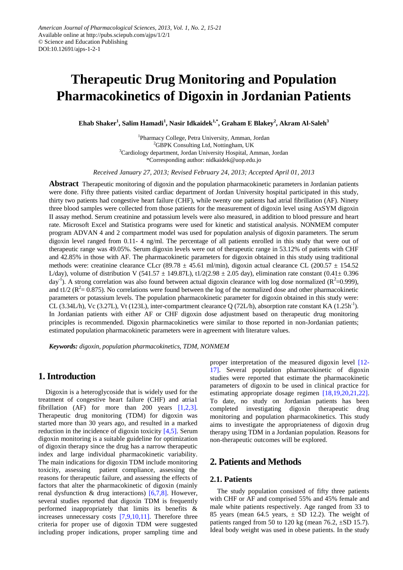# **Therapeutic Drug Monitoring and Population Pharmacokinetics of Digoxin in Jordanian Patients**

**Ehab Shaker<sup>1</sup> , Salim Hamadi<sup>1</sup> , Nasir Idkaidek1,\* , Graham E Blakey<sup>2</sup> , Akram Al-Saleh<sup>3</sup>**

<sup>1</sup>Pharmacy College, Petra University, Amman, Jordan <sup>2</sup>GBPK Consulting Ltd, Nottingham, UK <sup>3</sup>Cardiology department, Jordan University Hospital, Amman, Jordan \*Corresponding author: nidkaidek@uop.edu.jo

*Received January 27, 2013; Revised February 24, 2013; Accepted April 01, 2013*

**Abstract** Therapeutic monitoring of digoxin and the population pharmacokinetic parameters in Jordanian patients were done. Fifty three patients visited cardiac department of Jordan University hospital participated in this study, thirty two patients had congestive heart failure (CHF), while twenty one patients had atrial fibrillation (AF). Ninety three blood samples were collected from those patients for the measurement of digoxin level using AxSYM digoxin II assay method. Serum creatinine and potassium levels were also measured, in addition to blood pressure and heart rate. Microsoft Excel and Statistica programs were used for kinetic and statistical analysis. NONMEM computer program ADVAN 4 and 2 compartment model was used for population analysis of digoxin parameters. The serum digoxin level ranged from 0.11- 4 ng/ml. The percentage of all patients enrolled in this study that were out of therapeutic range was 49.05%. Serum digoxin levels were out of therapeutic range in 53.12% of patients with CHF and 42.85% in those with AF. The pharmacokinetic parameters for digoxin obtained in this study using traditional methods were: creatinine clearance CLcr (89.78  $\pm$  45.61 ml/min), digoxin actual clearance CL (200.57  $\pm$  154.52 L/day), volume of distribution V (541.57  $\pm$  149.87L), t1/2(2.98  $\pm$  2.05 day), elimination rate constant (0.41 $\pm$ 0.396 day<sup>-1</sup>). A strong correlation was also found between actual digoxin clearance with log dose normalized ( $R^2$ =0.999), and t1/2 ( $R^2 = 0.875$ ). No correlations were found between the log of the normalized dose and other pharmacokinetic parameters or potassium levels. The population pharmacokinetic parameter for digoxin obtained in this study were: CL (3.34L/h), Vc (3.27L), Vt (123L), inter-compartment clearance Q (72L/h), absorption rate constant KA (1.25h<sup>-1</sup>). In Jordanian patients with either AF or CHF digoxin dose adjustment based on therapeutic drug monitoring principles is recommended. Digoxin pharmacokinetics were similar to those reported in non-Jordanian patients; estimated population pharmacokinetic parameters were in agreement with literature values.

*Keywords: digoxin, population pharmacokinetics, TDM, NONMEM*

# **1. Introduction**

Digoxin is a heteroglycoside that is widely used for the treatment of congestive heart failure (CHF) and atria1 fibrillation (AF) for more than 200 years  $[1,2,3]$ . Therapeutic drug monitoring (TDM) for digoxin was started more than 30 years ago, and resulted in a marked reduction in the incidence of digoxin toxicity [\[4,5\].](#page-5-1) Serum digoxin monitoring is a suitable guideline for optimization of digoxin therapy since the drug has a narrow therapeutic index and large individual pharmacokinetic variability. The main indications for digoxin TDM include monitoring toxicity, assessing patient compliance, assessing the reasons for therapeutic failure, and assessing the effects of factors that alter the pharmacokinetic of digoxin (mainly renal dysfunction & drug interactions) [\[6,7,8\].](#page-5-2) However, several studies reported that digoxin TDM is frequently performed inappropriately that limits its benefits & increases unnecessary costs [\[7,9,10,11\].](#page-5-3) Therefore three criteria for proper use of digoxin TDM were suggested including proper indications, proper sampling time and proper interpretation of the measured digoxin level [\[12-](#page-5-4) [17\].](#page-5-4) Several population pharmacokinetic of digoxin studies were reported that estimate the pharmacokinetic parameters of digoxin to be used in clinical practice for estimating appropriate dosage regimen [\[18,19,20,21,22\].](#page-5-5) To date, no study on Jordanian patients has been completed investigating digoxin therapeutic drug monitoring and population pharmacokinetics. This study aims to investigate the appropriateness of digoxin drug therapy using TDM in a Jordanian population. Reasons for non-therapeutic outcomes will be explored.

# **2. Patients and Methods**

# **2.1. Patients**

The study population consisted of fifty three patients with CHF or AF and comprised 55% and 45% female and male white patients respectively. Age ranged from 33 to 85 years (mean 64.5 years,  $\pm$  SD 12.2). The weight of patients ranged from 50 to 120 kg (mean 76.2, ±SD 15.7). Ideal body weight was used in obese patients. In the study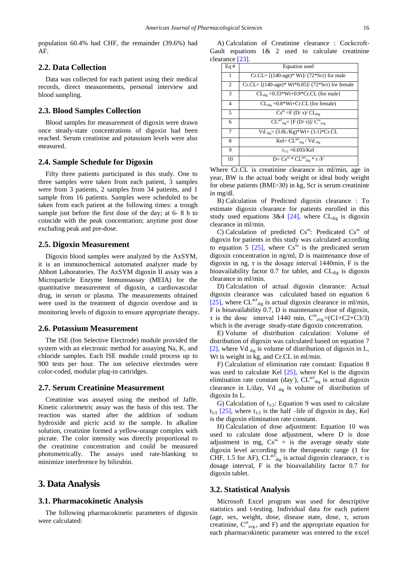population 60.4% had CHF, the remainder (39.6%) had AF.

## **2.2. Data Collection**

Data was collected for each patient using their medical records, direct measurements, personal interview and blood sampling.

## **2.3. Blood Samples Collection**

Blood samples for measurement of digoxin were drawn once steady-state concentrations of digoxin had been reached. Serum creatinine and potassium levels were also measured.

#### **2.4. Sample Schedule for Digoxin**

Fifty three patients participated in this study. One to three samples were taken from each patient, 3 samples were from 3 patients, 2 samples from 34 patients, and 1 sample from 16 patients. Samples were scheduled to be taken from each patient at the following times: a trough sample just before the first dose of the day; at 6- 8 h to coincide with the peak concentration; anytime post dose excluding peak and pre-dose.

#### **2.5. Digoxin Measurement**

Digoxin blood samples were analyzed by the AxSYM, it is an immunochemical automated analyzer made by Abbott Laboratories. The AxSYM digoxin II assay was a Microparticle Enzyme Immunoassay (MEIA) for the quantitative measurement of digoxin, a cardiovascular drug, in serum or plasma. The measurements obtained were used in the treatment of digoxin overdose and in monitoring levels of digoxin to ensure appropriate therapy.

## **2.6. Potassium Measurement**

The ISE (Ion Selective Electrode) module provided the system with an electronic method for assaying Na, K, and chloride samples. Each ISE module could process up to 900 tests per hour. The ion selective electrodes were color-coded, modular plug-in cartridges.

## **2.7. Serum Creatinine Measurement**

Creatinine was assayed using the method of Jaffe. Kinetic calorimetric assay was the basis of this test. The reaction was started after the addition of sodium hydroxide and picric acid to the sample. In alkaline solution, creatinine formed a yellow-orange complex with picrate. The color intensity was directly proportional to the creatinine concentration and could be measured photometrically. The assays used rate-blanking to minimize interference by bilirubin.

# **3. Data Analysis**

#### **3.1. Pharmacokinetic Analysis**

The following pharmacokinetic parameters of digoxin were calculated:

A) Calculation of Creatinine clearance : Cockcroft-Gault equations 1& 2 used to calculate creatinine clearance [\[23\].](#page-6-0)

| Eq#           | <b>Equation</b> used                                                          |
|---------------|-------------------------------------------------------------------------------|
| 1             | $Cr.CL = [(140 \text{-age})* Wt]/(72*Scr)$ for male                           |
| 2             | $Cr.CL = [(140 - age)*Wt*0.85]/(72*Scr)$ for female                           |
| $\mathcal{F}$ | $CLdiv = 0.33*Wt+0.9*Cr.CL$ (for male)                                        |
| 4             | $CL_{\text{die}} = 0.8*Wt+Cr.CL$ (for female)                                 |
| 5.            | $Cs^{ss} = F(D/\tau)/CL_{div}$                                                |
| 6             | $CL^{act}_{die} = [F (D/\tau)]/ C^{ss}_{ave}$                                 |
| 7             | Vd $_{\text{dig}} = (3.8L/Kg)*Wt + (3.1)*Cr.CL$                               |
| 8             | $\overline{\text{Kel}}$ = $CL^{\text{act}}_{\text{dig}}$ / Vd $_{\text{dig}}$ |
| 9             | $t_{1/2} = 0.693$ /Kel                                                        |
| 10            | $D = Cs^{ss} * CL^{act}$ <sub>dig</sub> * $\tau$ /F                           |

Where Cr.CL is creatinine clearance in ml/min, age in year, BW is the actual body weight or ideal body weight for obese patients (BMI>30) in kg, Scr is serum creatinine in mg/dl.

B) Calculation of Predicted digoxin clearance : To estimate digoxin clearance for patients enrolled in this study used equations  $3&4$  [\[24\],](#page-6-1) where CL<sub>dig</sub> is digoxin clearance in ml/min.

C) Calculation of predicted  $Cs^{ss}$ : Predicated  $Cs^{ss}$  of digoxin for patients in this study was calculated according to equation 5  $[25]$ , where Cs<sup>ss</sup> is the predicated serum digoxin concentration in ng/ml, D is maintenance dose of digoxin in ng,  $\tau$  is the dosage interval 1440min, F is the bioavailability factor 0.7 for tablet, and  $CL_{di}$  is digoxin clearance in ml/min.

D) Calculation of actual digoxin clearance: Actual digoxin clearance was calculated based on equation 6 [\[25\],](#page-6-2) where CL<sup>act</sup><sub>dig</sub> is actual digoxin clearance in ml/min, F is bioavailability 0.7, D is maintenance dose of digoxin,  $\tau$  is the dose interval 1440 min,  $C_{avg}^{ss} = (C1 + C2 + C3/3)$ which is the average steady-state digoxin concentration.

E) Volume of distribution calculation: Volume of distribution of digoxin was calculated based on equation 7 [\[2\],](#page-5-6) where Vd  $_{\text{dig}}$  is volume of distribution of digoxin in L, Wt is weight in kg, and Cr.CL in ml/min.

F) Calculation of elimination rate constant: Equation 8 was used to calculate Kel [\[25\],](#page-6-2) where Kel is the digoxin elimination rate constant (day),  $CL^{act}_{dig}$  is actual digoxin clearance in L/day, Vd  $_{\text{dig}}$  is volume of distribution of digoxin In L.

G) Calculation of  $t_{1/2}$ : Equation 9 was used to calculate  $t_{1/2}$  [\[25\],](#page-6-2) where  $t_{1/2}$  is the half –life of digoxin in day, Kel is the digoxin elimination rate constant.

H) Calculation of dose adjustment: Equation 10 was used to calculate dose adjustment, where D is dose adjustment in mg,  $Cs^{ss} =$  is the average steady state digoxin level according to the therapeutic range (1 for CHF, 1.5 for AF),  $CL^{act}_{dig}$  is actual digoxin clearance,  $\tau$  is dosage interval, F is the bioavailability factor 0.7 for digoxin tablet.

### **3.2. Statistical Analysis**

Microsoft Excel program was used for descriptive statistics and t-testing. Individual data for each patient (age, sex, weight, dose, disease state, dose, τ, serum creatinine,  $C_{avg}^{ss}$ , and F) and the appropriate equation for each pharmacokinetic parameter was entered to the excel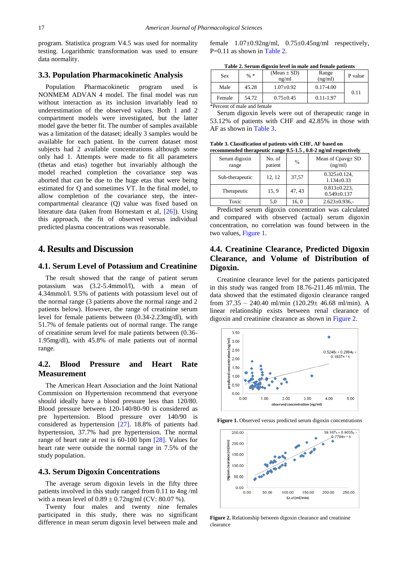program. Statistica program V4.5 was used for normality testing. Logarithmic transformation was used to ensure data normality.

## **3.3. Population Pharmacokinetic Analysis**

Population Pharmacokinetic program used is NONMEM ADVAN 4 model. The final model was run without interaction as its inclusion invariably lead to underestimation of the observed values. Both 1 and 2 compartment models were investigated, but the latter model gave the better fit. The number of samples available was a limitation of the dataset; ideally 3 samples would be available for each patient. In the current dataset most subjects had 2 available concentrations although some only had 1. Attempts were made to fit all parameters (thetas and etas) together but invariably although the model reached completion the covariance step was aborted that can be due to the huge etas that were being estimated for Q and sometimes VT. In the final model, to allow completion of the covariance step, the intercompartmental clearance (Q) value was fixed based on literature data (taken from Hornestam et al, [\[26\]\)](#page-6-3). Using this approach, the fit of observed versus individual predicted plasma concentrations was reasonable.

# **4. Results and Discussion**

## **4.1. Serum Level of Potassium and Creatinine**

The result showed that the range of patient serum potassium was (3.2-5.4mmol/l), with a mean of 4.34mmol/l. 9.5% of patients with potassium level out of the normal range (3 patients above the normal range and 2 patients below). However, the range of creatinine serum level for female patients between (0.34-2.23mg/dl), with 51.7% of female patients out of normal range. The range of creatinine serum level for male patients between (0.36- 1.95mg/dl), with 45.8% of male patients out of normal range.

## **4.2. Blood Pressure and Heart Rate Measurement**

The American Heart Association and the Joint National Commission on Hypertension recommend that everyone should ideally have a blood pressure less than 120/80. Blood pressure between 120-140/80-90 is considered as pre hypertension. Blood pressure over 140/90 is considered as hypertension [\[27\].](#page-6-4) 18.8% of patients had hypertension, 37.7% had pre hypertension. The normal range of heart rate at rest is 60-100 bpm [\[28\].](#page-6-5) Values for heart rate were outside the normal range in 7.5% of the study population.

## **4.3. Serum Digoxin Concentrations**

The average serum digoxin levels in the fifty three patients involved in this study ranged from 0.11 to 4ng /ml with a mean level of  $0.89 \pm 0.72$ ng/ml (CV: 80.07 %).

Twenty four males and twenty nine females participated in this study, there was no significant difference in mean serum digoxin level between male and female  $1.07 \pm 0.92$ ng/ml,  $0.75 \pm 0.45$ ng/ml respectively, P=0.11 as shown in [Table 2.](#page-2-0)

| Table 2. Serum digoxin level in male and female patients |  |  |
|----------------------------------------------------------|--|--|
|                                                          |  |  |

<span id="page-2-0"></span>

| Sex    | $%$ * | (Mean $\pm$ SD)<br>ng/ml | Range<br>(ng/ml) | P value |
|--------|-------|--------------------------|------------------|---------|
| Male   | 45.28 | $1.07 + 0.92$            | $0.17 - 4.00$    | 0.11    |
| Female | 54.72 | $0.75 - 0.45$            | $0.11 - 1.97$    |         |

\*Percent of male and female

Serum digoxin levels were out of therapeutic range in 53.12% of patients with CHF and 42.85% in those with AF as shown in [Table 3.](#page-2-1)

**Table 3. Classification of patients with CHF, AF based on recommended therapeutic range 0.5-1.5 , 0.8-2 ng/ml respectively**

<span id="page-2-1"></span>

| тесопписносо питарсине ганgе 0.0-1.0 , 0.0-2 нg/ни гезреситст |                   |               |                                        |  |  |  |
|---------------------------------------------------------------|-------------------|---------------|----------------------------------------|--|--|--|
| Serum digoxin<br>range                                        | No. of<br>patient | $\frac{0}{0}$ | Mean of $Cpay \pm SD$<br>(ng/ml)       |  |  |  |
| Sub-therapeutic                                               | 12, 12            | 37,57         | $0.325 \pm 0.124$ ,<br>$1.134 + 0.33$  |  |  |  |
| Therapeutic                                                   | 15, 9             | 47, 43        | $0.813 \pm 0.223$ ,<br>$0.549 + 0.137$ |  |  |  |
| Toxic                                                         | 5,0               | 16, 0         | $2.623 \pm 0.936$ ,-                   |  |  |  |

Predicted serum digoxin concentration was calculated and compared with observed (actual) serum digoxin concentration, no correlation was found between in the two values, [Figure 1.](#page-2-2)

# **4.4. Creatinine Clearance, Predicted Digoxin Clearance, and Volume of Distribution of Digoxin.**

Creatinine clearance level for the patients participated in this study was ranged from 18.76-211.46 ml/min. The data showed that the estimated digoxin clearance ranged from  $37.35 - 240.40$  ml/min  $(120.29 \pm 46.68$  ml/min). A linear relationship exists between renal clearance of digoxin and creatinine clearance as shown in [Figure 2.](#page-2-3)

<span id="page-2-2"></span>

Figure 1. Observed versus predicted serum digoxin concentrations

<span id="page-2-3"></span>

**Figure 2.** Relationship between digoxin clearance and creatinine clearance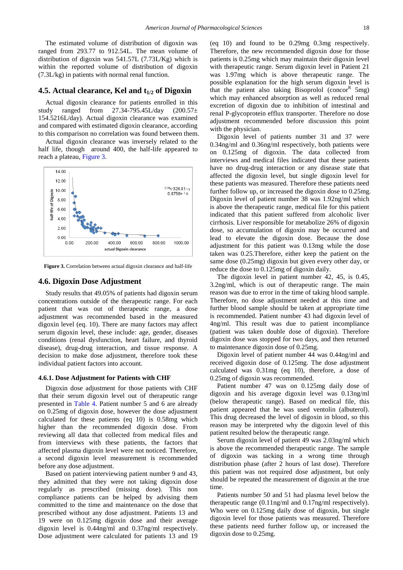The estimated volume of distribution of digoxin was ranged from 293.77 to 912.54L. The mean volume of distribution of digoxin was 541.57L (7.73L/Kg) which is within the reported volume of distribution of digoxin (7.3L/kg) in patients with normal renal function.

#### **4.5. Actual clearance, Kel and t1/2 of Digoxin**

Actual digoxin clearance for patients enrolled in this study ranged from  $27.34$ -795.45L/day  $(200.57 \pm$ 154.5216L/day). Actual digoxin clearance was examined and compared with estimated digoxin clearance, according to this comparison no correlation was found between them.

Actual digoxin clearance was inversely related to the half life, though around 400, the half-life appeared to reach a plateau, [Figure 3.](#page-3-0)

<span id="page-3-0"></span>

**Figure 3.** Correlation between actual digoxin clearance and half-life

#### **4.6. Digoxin Dose Adjustment**

Study results that 49.05% of patients had digoxin serum concentrations outside of the therapeutic range. For each patient that was out of therapeutic range, a dose adjustment was recommended based in the measured digoxin level (eq. 10). There are many factors may affect serum digoxin level, these include: age, gender, diseases conditions (renal dysfunction, heart failure, and thyroid disease), drug-drug interaction, and tissue response. A decision to make dose adjustment, therefore took these individual patient factors into account.

#### **4.6.1. Dose Adjustment for Patients with CHF**

Digoxin dose adjustment for those patients with CHF that their serum digoxin level out of therapeutic range presented in [Table 4.](#page-4-0) Patient number 5 and 6 are already on 0.25mg of digoxin dose, however the dose adjustment calculated for these patients (eq 10) is 0.58mg which higher than the recommended digoxin dose. From reviewing all data that collected from medical files and from interviews with these patients, the factors that affected plasma digoxin level were not noticed. Therefore, a second digoxin level measurement is recommended before any dose adjustment.

Based on patient interviewing patient number 9 and 43, they admitted that they were not taking digoxin dose regularly as prescribed (missing dose). This non compliance patients can be helped by advising them committed to the time and maintenance on the dose that prescribed without any dose adjustment. Patients 13 and 19 were on 0.125mg digoxin dose and their average digoxin level is 0.44ng/ml and 0.37ng/ml respectively. Dose adjustment were calculated for patients 13 and 19 (eq 10) and found to be 0.29mg 0.3mg respectively. Therefore, the new recommended digoxin dose for those patients is 0.25mg which may maintain their digoxin level with therapeutic range. Serum digoxin level in Patient 21 was 1.97mg which is above therapeutic range. The possible explanation for the high serum digoxin level is that the patient also taking Bisoprolol (concor<sup>R</sup> 5mg) which may enhanced absorption as well as reduced renal excretion of digoxin due to inhibition of intestinal and renal P-glycoprotein efflux transporter. Therefore no dose adjustment recommended before discussion this point with the physician.

Digoxin level of patients number 31 and 37 were 0.34ng/ml and 0.36ng/ml respectively, both patients were on 0.125mg of digoxin. The data collected from interviews and medical files indicated that these patients have no drug-drug interaction or any disease state that affected the digoxin level, but single digoxin level for these patients was measured. Therefore these patients need further follow up, or increased the digoxin dose to 0.25mg. Digoxin level of patient number 38 was 1.92ng/ml which is above the therapeutic range, medical file for this patient indicated that this patient suffered from alcoholic liver cirrhosis. Liver responsible for metabolize 26% of digoxin dose, so accumulation of digoxin may be occurred and lead to elevate the digoxin dose. Because the dose adjustment for this patient was 0.13mg while the dose taken was 0.25.Therefore, either keep the patient on the same dose (0.25mg) digoxin but given every other day, or reduce the dose to 0.125mg of digoxin daily.

The digoxin level in patient number 42, 45, is 0.45, 3.2ng/ml, which is out of therapeutic range. The main reason was due to error in the time of taking blood sample. Therefore, no dose adjustment needed at this time and further blood sample should be taken at appropriate time is recommended. Patient number 43 had digoxin level of 4ng/ml. This result was due to patient incompliance (patient was taken double dose of digoxin). Therefore digoxin dose was stopped for two days, and then returned to maintenance digoxin dose of 0.25mg.

Digoxin level of patient number 44 was 0.44ng/ml and received digoxin dose of 0.125mg. The dose adjustment calculated was 0.31mg (eq 10), therefore, a dose of 0.25mg of digoxin was recommended.

Patient number 47 was on 0.125mg daily dose of digoxin and his average digoxin level was 0.13ng/ml (below therapeutic range). Based on medical file, this patient appeared that he was used ventolin (albuterol). This drug decreased the level of digoxin in blood, so this reason may be interpreted why the digoxin level of this patient resulted below the therapeutic range.

Serum digoxin level of patient 49 was 2.03ng/ml which is above the recommended therapeutic range. The sample of digoxin was tacking in a wrong time through distribution phase (after 2 hours of last dose). Therefore this patient was not required dose adjustment, but only should be repeated the measurement of digoxin at the true time.

Patients number 50 and 51 had plasma level below the therapeutic range (0.11ng/ml and 0.17ng/ml respectively). Who were on 0.125mg daily dose of digoxin, but single digoxin level for those patients was measured. Therefore these patients need further follow up, or increased the digoxin dose to 0.25mg.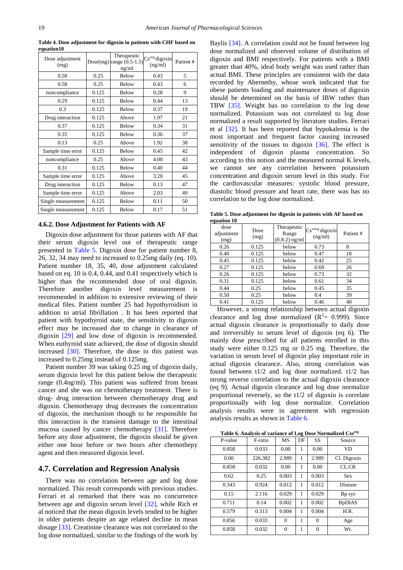<span id="page-4-0"></span>

| Dose adjustment<br>(mg) |       | Therapeutic<br>Dose(mg) range $(0.5-1.5)$<br>ng/ml | Cs <sup>avg</sup> digoxin<br>(ng/ml) | Patient# |
|-------------------------|-------|----------------------------------------------------|--------------------------------------|----------|
| 0.58                    | 0.25  | Below                                              | 0.43                                 | 5        |
| 0.58                    | 0.25  | <b>Below</b>                                       | 0.43                                 | 6        |
| noncompliance           | 0.125 | <b>Below</b>                                       | 0.28                                 | 9        |
| 0.29                    | 0.125 | Below                                              | 0.44                                 | 13       |
| 0.3                     | 0.125 | <b>Below</b>                                       | 0.37                                 | 19       |
| Drug interaction        | 0.125 | Above                                              | 1.97                                 | 21       |
| 0.37                    | 0.125 | Below                                              | 0.34                                 | 31       |
| 0.35                    | 0.125 | <b>Below</b>                                       | 0.36                                 | 37       |
| 0.13                    | 0.25  | Above                                              | 1.92                                 | 38       |
| Sample time error       | 0.125 | <b>Below</b>                                       | 0.45                                 | 42       |
| noncompliance           | 0.25  | Above                                              | 4.00                                 | 43       |
| 0.31                    | 0.125 | <b>Below</b>                                       | 0.40                                 | 44       |
| Sample time error       | 0.125 | Above                                              | 3.20                                 | 45       |
| Drug interaction        | 0.125 | <b>Below</b>                                       | 0.13                                 | 47       |
| Sample time error       | 0.125 | Above                                              | 2.03                                 | 49       |
| Single measurement      | 0.125 | <b>Below</b>                                       | 0.11                                 | 50       |
| Single measurement      | 0.125 | Below                                              | 0.17                                 | 51       |

**Table 4. Dose adjustment for digoxin in patients with CHF based on equation10**

#### **4.6.2. Dose Adjustment for Patients with AF**

Digoxin dose adjustment for those patients with AF that their serum digoxin level out of therapeutic range presented in [Table 5.](#page-4-1) Digoxin dose for patient number 8, 26, 32, 34 may need to increased to 0.25mg daily (eq. 10). Patient number 18, 35, 40, dose adjustment calculated based on eq. 10 is 0.4, 0.44, and 0.41 respectively which is higher than the recommended dose of oral digoxin. Therefore another digoxin level measurement is recommended in addition to extensive reviewing of their medical files. Patient number 25 had hypothyroidism in addition to atrial fibrillation . It has been reported that patient with hypothyroid state, the sensitivity to digoxin effect may be increased due to change in clearance of digoxin [\[29\]](#page-6-6) and low dose of digoxin is recommended. When euthyroid state achieved, the dose of digoxin should increased [\[30\].](#page-6-7) Therefore, the dose in this patient was increased to 0.25mg instead of 0.125mg.

Patient number 39 was taking 0.25 mg of digoxin daily, serum digoxin level for this patient below the therapeutic range (0.4ng/ml). This patient was suffered from breast cancer and she was on chemotherapy treatment. There is drug- drug interaction between chemotherapy drug and digoxin. Chemotherapy drug decreases the concentration of digoxin, the mechanism though to be responsible for this interaction is the transient damage to the intestinal mucosa caused by cancer chemotherapy [\[31\].](#page-6-8) Therefore before any dose adjustment, the digoxin should be given either one hour before or two hours after chemothepy agent and then measured digoxin level.

#### **4.7. Correlation and Regression Analysis**

There was no correlation between age and log dose normalized. This result corresponds with previous studies. Ferrari et al remarked that there was no concurrence between age and digoxin serum level [\[32\],](#page-6-9) while Rich et al noticed that the mean digoxin levels tended to be higher in older patients despite an age related decline in mean dosage [\[33\].](#page-6-10) Creatinine clearance was not correlated to the log dose normalized, similar to the findings of the work by

Baylis [\[34\].](#page-6-11) A correlation could not be found between log dose normalized and observed volume of distribution of digoxin and BMI respectively. For patients with a BMI greater than 40%, ideal body weight was used rather than actual BMI. These principles are consistent with the data recorded by Abernethy, whose work indicated that for obese patients loading and maintenance doses of digoxin should be determined on the basis of IBW rather than TBW [\[35\].](#page-6-12) Weight has no correlation to the log dose normalized. Potassium was not correlated to log dose normalized a result supported by literature studies. Ferrari et al [\[32\].](#page-6-9) It has been reported that hypokalemia is the most important and frequent factor causing increased sensitivity of the tissues to digoxin  $[36]$ . The effect is independent of digoxin plasma concentration. So according to this notion and the measured normal K levels, we cannot see any correlation between potassium concentration and digoxin serum level in this study. For the cardiovascular measures: systolic blood pressure, diastolic blood pressure and heart rate, there was has no correlation to the log dose normalized.

**Table 5. Dose adjustment for digoxin in patients with AF based on equation 10**

<span id="page-4-1"></span>

| dose<br>adjustment<br>(mg) | Dose<br>(mg) | Therapeutic<br>Range<br>$(0.8-2)$ ng/ml | $Csssavg$ digoxin<br>(ng/ml) | Patient# |
|----------------------------|--------------|-----------------------------------------|------------------------------|----------|
| 0.26                       | 0.125        | below                                   | 0.73                         | 8        |
| 0.40                       | 0.125        | below                                   | 0.47                         | 18       |
| 0.45                       | 0.125        | below                                   | 0.42                         | 25       |
| 0.27                       | 0.125        | below                                   | 0.69                         | 26       |
| 0.26                       | 0.125        | below                                   | 0.73                         | 32       |
| 0.31                       | 0.125        | below                                   | 0.61                         | 34       |
| 0.44                       | 0.25         | below                                   | 0.45                         | 35       |
| 0.50                       | 0.25         | below                                   | 0.4                          | 39       |
| 0.41                       | 0.125        | below                                   | 0.46                         | 40       |
|                            |              |                                         |                              |          |

However, a strong relationship between actual digoxin clearance and log dose normalized  $(R^2 = 0.999)$ . Since actual digoxin clearance is proportionally to daily dose and irreversibly to serum level of digoxin (eq 6). The mainly dose prescribed for all patients enrolled in this study were either 0.125 mg or 0.25 mg. Therefore, the variation in serum level of digoxin play important role in actual digoxin clearance. Also, strong correlation was found between t1/2 and log dose normalized. t1/2 has strong reverse correlation to the actual digoxin clearance (eq 9). Actual digoxin clearance and log dose normalize proportional reversely, so the t1/2 of digoxin is correlate proportionally with log dose normalize. Correlation analysis results were in agreement with regression analysis results as shown in [Table 6.](#page-4-2)

**Table 6. Analysis of variance of Log Dose Normalized Css avg**

<span id="page-4-2"></span>

| P-value | F-ratio | MS       | DF | <b>SS</b> | Source        |
|---------|---------|----------|----|-----------|---------------|
| 0.858   | 0.033   | 0.00     | 1  | 0.00      | <b>VD</b>     |
| 0.00    | 226.382 | 2.989    | 1  | 2.989     | Cl. Digoxin   |
| 0.858   | 0.032   | 0.00     | 1  | 0.00      | CL.CR         |
| 0.62    | 0.25    | 0.003    | 1  | 0.003     | <b>Sex</b>    |
| 0.343   | 0.924   | 0.012    | 1  | 0.012     | Disease       |
| 0.15    | 2.116   | 0.029    | 1  | 0.029     | Bp sys        |
| 0.711   | 0.14    | 0.002    | 1  | 0.002     | <b>BpDIAS</b> |
| 0.579   | 0.313   | 0.004    | 1  | 0.004     | H.R.          |
| 0.856   | 0.033   | $\Omega$ | 1  | $\Omega$  | Age           |
| 0.858   | 0.032   | $\theta$ | 1  | $\Omega$  | Wt.           |
|         |         |          |    |           |               |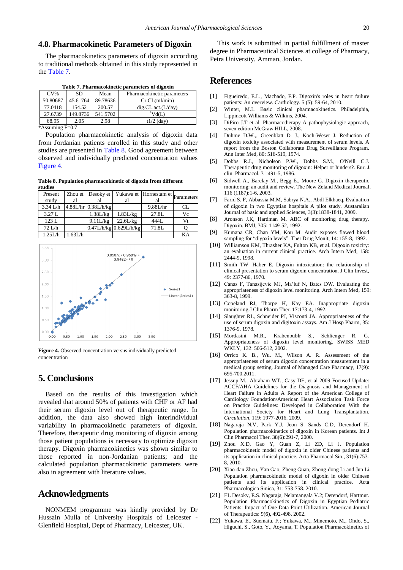### **4.8. Pharmacokinetic Parameters of Digoxin**

The pharmacokinetics parameters of digoxin according to traditional methods obtained in this study represented in the [Table 7.](#page-5-7)

| Table 7. Pharmacokinetic parameters of digoxin |  |  |
|------------------------------------------------|--|--|
|------------------------------------------------|--|--|

<span id="page-5-7"></span>

| $CV\%$   | <b>SD</b> | Mean     | Pharmacokinetic parameters |  |  |
|----------|-----------|----------|----------------------------|--|--|
| 50.80687 | 45.61764  | 89.78636 | Cr.CL(ml/min)              |  |  |
| 77.0418  | 154.52    | 200.57   | dig.CL.act.(L/day)         |  |  |
| 27.6739  | 149.8736  | 541.5702 | $\mathrm{Vd}(L)$           |  |  |
| 68.95    | 2.05      | 2.98     | $t1/2$ (day)               |  |  |
|          |           |          |                            |  |  |

 $*$ Assuming F $=$ 0.7

Population pharmacokinetic analysis of digoxin data from Jordanian patients enrolled in this study and other studies are presented in [Table 8.](#page-5-8) Good agreement between observed and individually predicted concentration values [Figure 4.](#page-5-9)

**Table 8. Population pharmacokinetic of digoxin from different studies**

<span id="page-5-8"></span>

| Present    |         |                       |                              | Zhou et   Desoky et   Yukawa et   Hornestam et   parameters |           |
|------------|---------|-----------------------|------------------------------|-------------------------------------------------------------|-----------|
| study      | al      | al                    | al                           | al                                                          |           |
| $3.34$ L/h |         | $4.88L/hr$ 0.38L/h/kg |                              | 9.88L/hr                                                    | <b>CL</b> |
| 3.27 L     |         | 1.38L/kg              | 1.83L/kg                     | 27.8L                                                       | Vc        |
| 123 L      |         | 9.11L/kg              | 22.6L/kg                     | 444L                                                        | Vt        |
| 72 L/h     |         |                       | $0.47$ L/h/kg $0.629$ L/h/kg | 71.8L                                                       |           |
| 1.25L/h    | 1.63L/h |                       |                              |                                                             | KA        |

<span id="page-5-9"></span>

**Figure 4.** Observed concentration versus individually predicted concentration

# **5. Conclusions**

Based on the results of this investigation which revealed that around 50% of patients with CHF or AF had their serum digoxin level out of therapeutic range. In addition, the data also showed high interindividual variability in pharmacokinetic parameters of digoxin. Therefore, therapeutic drug monitoring of digoxin among those patient populations is necessary to optimize digoxin therapy. Digoxin pharmacokinetics was shown similar to those reported in non-Jordanian patients; and the calculated population pharmacokinetic parameters were also in agreement with literature values.

# **Acknowledgments**

NONMEM programme was kindly provided by Dr Hussain Mulla of University Hospitals of Leicester - Glenfield Hospital, Dept of Pharmacy, Leicester, UK.

This work is submitted in partial fulfillment of master degree in Pharmaceutical Sciences at college of Pharmacy, Petra University, Amman, Jordan.

# **References**

- <span id="page-5-0"></span>[1] Figueiredo, E.L., Machado, F.P. Digoxin's roles in heart failure patients: An overview. Cardiology. 5 (5): 59-64, 2010.
- <span id="page-5-6"></span>[2] Winter, M.L. Basic clinical pharmacokinetics. Philadelphia, Lippincott Williams & Wilkins, 2004.
- [3] DiPiro J.T et al. Pharmacotherapy A pathophysiologic approach, seven edition McGraw HILL, 2008.
- <span id="page-5-1"></span>[4] Duhme D.W.,, Greenblatt D. J., Koch-Weser J. Reduction of digoxin toxicity associated with measurement of serum levels. A report from the Boston Collaborate Drug Surveillance Program. Ann Inter Med, 80: 516-519, 1974.
- [5] Dobbs R.J., Nicholson P.W., Dobbs S.M., O'Neill C.J. Therapeutic drug monitoring of digoxin: Helper or hinders?. Eur. J. clin. Pharmacol. 31:491-5, 1986.
- <span id="page-5-2"></span>[6] Sidwell A., Barclay M., Begg E., Moore G. Digoxin therapeutic monitoring: an audit and review. The New Zeland Medical Journal, 116 (1187):1-6, 2003.
- <span id="page-5-3"></span>[7] Farid S. F, Abbassia M.M, Sabrya N.A., Abdl Elkhaeq. Evaluation of digoxin in two Egyptian hospitals A pilot study. Austaralian Journal of basic and applied Sciences, 3(3):1838-1841, 2009.
- [8] Aronson J.K, Hardman M. ABC of monitoring drug therapy. Digoxin. BMJ, 305: 1149-52, 1992.
- [9] Kumana CR, Chan YM, Kou M. Audit exposes flawed blood sampling for "digoxin levels". Ther Drug Monit, 14: 155-8, 1992.
- [10] Williamson KM, Thrasher KA, Fulton KB, et al. Digoxin toxicity: an evaluation in current clinical practice. Arch Intern Med, 158: 2444-9, 1998.
- [11] Smith TW, Haber E. Digoxin intoxication: the relationship of clinical presentation to serum digoxin concentration. J Clin Invest, 49: 2377-86, 1970.
- <span id="page-5-4"></span>[12] Canas F, Tanasijevic MJ, Ma'luf N, Bates DW. Evaluating the appropriateness of digoxin level monitoring. Arch Intern Med, 159: 363-8, 1999.
- [13] Copeland RJ, Thorpe H, Kay EA. Inappropriate digoxin monitoring.J Clin Pharm Ther. 17:173-4, 1992.
- [14] Slaughter RL, Schneider PJ, Visconti JA. Appropriateness of the use of serum digoxin and digitoxin assays. Am J Hosp Pharm, 35: 1376-9. 1978.
- [15] Mordasini M.R., Krabenbublr S., Schlienger R. G. Appropriateness of digoxin level monitoring. SWISS MED WKLY, 132: 506-512, 2002.
- [16] Orrico K. B., Wu. M., Wilson A. R. Assessment of the appropriateness of serum digoxin concentration measurement in a medical group setting. Journal of Managed Care Pharmacy, 17(9): 695-700.2011.
- [17] Jessup M., Abraham WT., Casy DE, et al 2009 Focused Update: ACCF/AHA Guidelines for the Diagnosis and Management of Heart Failure in Adults A Report of the American College of Cardiology Foundation/American Heart Association Task Force on Practice Guidelines: Developed in Collaboration With the International Society for Heart and Lung Transplantation. *Circulation*, 119: 1977-2016. 2009.
- <span id="page-5-5"></span>[18] Nagaraja N.V, Park Y.J, Jeon S, Sands C.D, Derendorf H. Population pharmacokinetics of digoxin in Korean patients. Int J Clin Pharmacol Ther. 38(6):291-7, 2000.
- [19] Zhou X.D, Gao Y, Guan Z, Li ZD, Li J. Population pharmacokinetic model of digoxin in older Chinese patients and its application in clinical practice. Acta Pharmacol Sin., 31(6):753- 8, 2010.
- [20] Xiao-dan Zhou, Yan Gao, Zheng Guan, Zhong-dong Li and Jun Li. Population pharmacokinetic model of digoxin in older Chinese patients and its application in clinical practice. Acta Pharmacologica Sinica, 31: 753-758. 2010.
- [21] EL Desoky, E.S. Nagaraja, Nelamangala V.2; Derendorf, Hartmut. Population Pharmacokinetics of Digoxin in Egyptian Pediatric Patients: Impact of One Data Point Utilization. American Journal of Therapeutics: 9(6), 492-498. 2002.
- [22] Yukawa, E., Suematu, F.; Yukawa, M., Minemoto, M., Ohdo, S., Higuchi, S., Goto, Y., Aoyama, T. Population Pharmacokinetics of